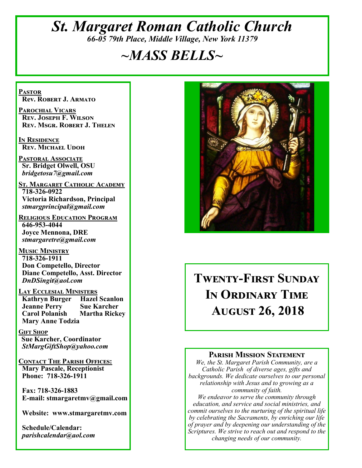# *St. Margaret Roman Catholic Church 66-05 79th Place, Middle Village, New York 11379*

# *~MASS BELLS~*

**Pastor Rev. Robert J. Armato**

**Parochial Vicars Rev. Joseph F. Wilson Rev. Msgr. Robert J. Thelen**

**In Residence Rev. Michael Udoh**

**Pastoral Associate Sr. Bridget Olwell, OSU**  *bridgetosu7@gmail.com*

**St. Margaret Catholic Academy 718-326-0922 Victoria Richardson, Principal**  *stmargprincipal@gmail.com*

**Religious Education Program 646-953-4044 Joyce Mennona, DRE** *stmargaretre@gmail.com*

**Music Ministry 718-326-1911 Don Competello, Director Diane Competello, Asst. Director** *DnDSingit@aol.com*

**Lay Ecclesial Ministers Kathryn Burger Jeanne Perry Sue Karcher Carol Polanish Martha Rickey Mary Anne Todzia**

**Gift Shop Sue Karcher, Coordinator** *StMargGiftShop@yahoo.com*

**Contact The Parish Offices: Mary Pascale, Receptionist Phone: 718-326-1911** 

 **Fax: 718-326-1883 E-mail: stmargaretmv@gmail.com**

 **Website: www.stmargaretmv.com**

 **Schedule/Calendar:** *parishcalendar@aol.com* 



# **Twenty-First Sunday In Ordinary Time August 26, 2018**

#### **Parish Mission Statement**

*We, the St. Margaret Parish Community, are a Catholic Parish of diverse ages, gifts and backgrounds. We dedicate ourselves to our personal relationship with Jesus and to growing as a community of faith.*

*We endeavor to serve the community through education, and service and social ministries, and commit ourselves to the nurturing of the spiritual life by celebrating the Sacraments, by enriching our life of prayer and by deepening our understanding of the Scriptures. We strive to reach out and respond to the changing needs of our community.*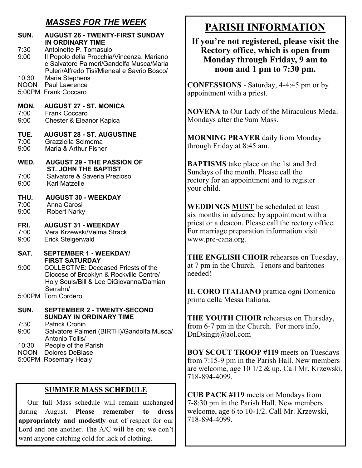# *MASSES FOR THE WEEK*

| SUN.                           | <b>AUGUST 26 - TWENTY-FIRST SUNDAY</b><br><b>IN ORDINARY TIME</b>                                                                            |
|--------------------------------|----------------------------------------------------------------------------------------------------------------------------------------------|
| 7:30<br>9:00                   | Antoinette P. Tomasulo<br>Il Popolo della Procchia/Vincenza, Mariano<br>e Salvatore Palmeri/Gandolfa Musca/Maria                             |
| 10:30                          | Puleri/Alfredo Tisi/Mieneal e Savrio Bosco/<br>Maria Stephens<br><b>NOON</b> Paul Lawrence<br>5:00PM Frank Coccaro                           |
| MON.<br>7:00<br>9:00           | <b>AUGUST 27 - ST. MONICA</b><br><b>Frank Coccaro</b><br>Chester & Eleanor Kapica                                                            |
| TUE.<br>7:00<br>9:00           | <b>AUGUST 28 - ST. AUGUSTINE</b><br>Grazziella Scimema<br>Maria & Arthur Fisher                                                              |
| WED.                           | <b>AUGUST 29 - THE PASSION OF</b><br><b>ST. JOHN THE BAPTIST</b>                                                                             |
| 7:00<br>9:00                   | Salvatore & Saveria Prezioso<br><b>Karl Matzelle</b>                                                                                         |
| THU.<br>7:00<br>9:00           | <b>AUGUST 30 - WEEKDAY</b><br>Anna Carosi<br><b>Robert Narky</b>                                                                             |
| FRI.<br>7:00<br>9:00           | <b>AUGUST 31 - WEEKDAY</b><br>Vera Krzewski/Velma Strack<br><b>Erick Steigerwald</b>                                                         |
| SAT.                           | <b>SEPTEMBER 1 - WEEKDAY/</b><br><b>FIRST SATURDAY</b>                                                                                       |
| 9:00                           | <b>COLLECTIVE: Deceased Priests of the</b><br>Diocese of Brooklyn & Rockville Centre/<br>Holy Souls/Bill & Lee DiGiovanna/Damian<br>Serrahn/ |
|                                | 5:00PM Tom Cordero                                                                                                                           |
| SUN.                           | <b>SEPTEMBER 2 - TWENTY-SECOND</b><br><b>SUNDAY IN ORDINARY TIME</b>                                                                         |
| 7:30<br>9:00                   | <b>Patrick Cronin</b><br>Salvatore Palmeri (BIRTH)/Gandolfa Musca/<br>Antonio Tollis/                                                        |
| 10:30<br><b>NOON</b><br>5:00PM | People of the Parish<br><b>Dolores DeBiase</b><br><b>Rosemary Healy</b>                                                                      |

#### **SUMMER MASS SCHEDULE**

 Our full Mass schedule will remain unchanged during August. **Please remember to dress appropriately and modestly** out of respect for our Lord and one another. The A/C will be on; we don't want anyone catching cold for lack of clothing.

# **PARISH INFORMATION**

#### **If you're not registered, please visit the Rectory office, which is open from Monday through Friday, 9 am to noon and 1 pm to 7:30 pm.**

**CONFESSIONS** - Saturday, 4-4:45 pm or by appointment with a priest.

**NOVENA** to Our Lady of the Miraculous Medal Mondays after the 9am Mass.

**MORNING PRAYER** daily from Monday through Friday at 8:45 am.

**BAPTISMS** take place on the 1st and 3rd Sundays of the month. Please call the rectory for an appointment and to register your child.

**WEDDINGS MUST** be scheduled at least six months in advance by appointment with a priest or a deacon. Please call the rectory office. For marriage preparation information visit www.pre-cana.org.

**THE ENGLISH CHOIR** rehearses on Tuesday, at 7 pm in the Church. Tenors and baritones needed!

**IL CORO ITALIANO** prattica ogni Domenica prima della Messa Italiana.

**THE YOUTH CHOIR** rehearses on Thursday, from 6-7 pm in the Church. For more info, DnDsingit@aol.com

**BOY SCOUT TROOP #119** meets on Tuesdays from 7:15-9 pm in the Parish Hall. New members are welcome, age 10 1/2 & up. Call Mr. Krzewski, 718-894-4099.

**CUB PACK #119** meets on Mondays from 7-8:30 pm in the Parish Hall. New members welcome, age 6 to 10-1/2. Call Mr. Krzewski, 718-894-4099.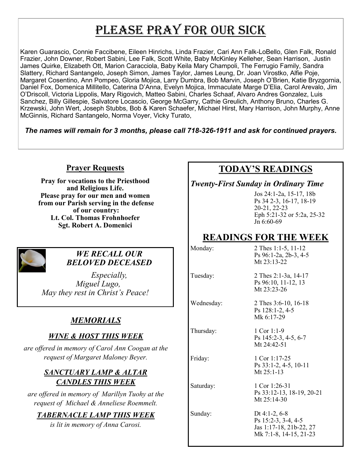# PLEASE PRAY FOR OUR SICK

Karen Guarascio, Connie Faccibene, Eileen Hinrichs, Linda Frazier, Cari Ann Falk-LoBello, Glen Falk, Ronald Frazier, John Downer, Robert Sabini, Lee Falk, Scott White, Baby McKinley Kelleher, Sean Harrison, Justin James Quirke, Elizabeth Ott, Marion Caracciola, Baby Keila Mary Champoli, The Ferrugio Family, Sandra Slattery, Richard Santangelo, Joseph Simon, James Taylor, James Leung, Dr. Joan Virostko, Alfie Poje, Margaret Cosentino, Ann Pompeo, Gloria Mojica, Larry Dumbra, Bob Marvin, Joseph O'Brien, Katie Bryzgornia, Daniel Fox, Domenica Millitello, Caterina D'Anna, Evelyn Mojica, Immaculate Marge D'Elia, Carol Arevalo, Jim O'Driscoll, Victoria Lippolis, Mary Rigovich, Matteo Sabini, Charles Schaaf, Alvaro Andres Gonzalez, Luis Sanchez, Billy Gillespie, Salvatore Locascio, George McGarry, Cathie Greulich, Anthony Bruno, Charles G. Krzewski, John Wert, Joseph Stubbs, Bob & Karen Schaefer, Michael Hirst, Mary Harrison, John Murphy, Anne McGinnis, Richard Santangelo, Norma Voyer, Vicky Turato,

*The names will remain for 3 months, please call 718-326-1911 and ask for continued prayers.*

#### **Prayer Requests**

**Pray for vocations to the Priesthood and Religious Life. Please pray for our men and women from our Parish serving in the defense of our country: Lt. Col. Thomas Frohnhoefer Sgt. Robert A. Domenici** 



#### *WE RECALL OUR BELOVED DECEASED*

*Especially, Miguel Lugo, May they rest in Christ's Peace!*

# *MEMORIALS*

#### *WINE & HOST THIS WEEK*

*are offered in memory of Carol Ann Coogan at the request of Margaret Maloney Beyer.* 

#### *SANCTUARY LAMP & ALTAR CANDLES THIS WEEK*

*are offered in memory of Marillyn Tuohy at the request of Michael & Anneliese Roemmelt.* 

#### *TABERNACLE LAMP THIS WEEK*

*is lit in memory of Anna Carosi.* 

# **TODAY'S READINGS**

*Twenty-First Sunday in Ordinary Time*

Jos 24:1-2a, 15-17, 18b Ps 34 2-3, 16-17, 18-19 20-21, 22-23 Eph 5:21-32 or 5:2a, 25-32 Jn 6:60-69

# **READINGS FOR THE WEEK**

Monday: 2 Thes 1:1-5, 11-12 Ps 96:1-2a, 2b-3, 4-5 Mt 23:13-22

Tuesday: 2 Thes 2:1-3a, 14-17 Ps 96:10, 11-12, 13 Mt 23:23-26

> Ps 128:1-2, 4-5 Mk 6:17-29

Wednesday: 2 Thes 3:6-10, 16-18

Thursday: 1 Cor 1:1-9

Mt 24:42-51 Friday: 1 Cor 1:17-25 Ps 33:1-2, 4-5, 10-11 Mt 25:1-13

Ps 145:2-3, 4-5, 6-7

Saturday: 1 Cor 1:26-31 Ps 33:12-13, 18-19, 20-21 Mt 25:14-30

Sunday: Dt 4:1-2, 6-8 Ps 15:2-3, 3-4, 4-5 Jas 1:17-18, 21b-22, 27 Mk 7:1-8, 14-15, 21-23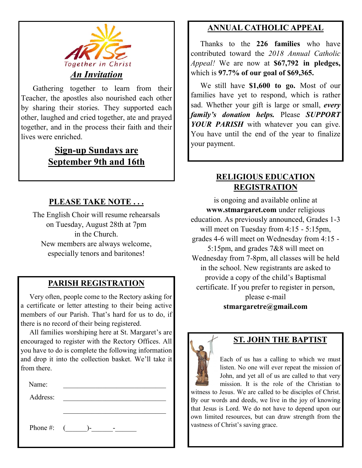

 Gathering together to learn from their Teacher, the apostles also nourished each other by sharing their stories. They supported each other, laughed and cried together, ate and prayed together, and in the process their faith and their lives were enriched.

# **Sign-up Sundays are September 9th and 16th**

#### **PLEASE TAKE NOTE . . .**

The English Choir will resume rehearsals on Tuesday, August 28th at 7pm in the Church. New members are always welcome, especially tenors and baritones!

# **PARISH REGISTRATION**

 Very often, people come to the Rectory asking for a certificate or letter attesting to their being active members of our Parish. That's hard for us to do, if there is no record of their being registered.

 All families worshiping here at St. Margaret's are encouraged to register with the Rectory Offices. All you have to do is complete the following information and drop it into the collection basket. We'll take it from there.

Address:

Phone #:  $($   $)$ -  $-$ 

## **ANNUAL CATHOLIC APPEAL**

 Thanks to the **226 families** who have contributed toward the *2018 Annual Catholic Appeal!* We are now at **\$67,792 in pledges,**  which is **97.7% of our goal of \$69,365.** 

 We still have **\$1,600 to go.** Most of our families have yet to respond, which is rather sad. Whether your gift is large or small, *every family's donation helps.* Please *SUPPORT YOUR PARISH* with whatever you can give. You have until the end of the year to finalize your payment.

#### **RELIGIOUS EDUCATION REGISTRATION**

is ongoing and available online at **www.stmargaret.com** under religious education. As previously announced, Grades 1-3 will meet on Tuesday from 4:15 - 5:15pm, grades 4-6 will meet on Wednesday from 4:15 - 5:15pm, and grades 7&8 will meet on Wednesday from 7-8pm, all classes will be held in the school. New registrants are asked to provide a copy of the child's Baptismal certificate. If you prefer to register in person, please e-mail **stmargaretre@gmail.com**



#### **ST. JOHN THE BAPTIST**

Each of us has a calling to which we must listen. No one will ever repeat the mission of John, and yet all of us are called to that very mission. It is the role of the Christian to

witness to Jesus. We are called to be disciples of Christ. By our words and deeds, we live in the joy of knowing that Jesus is Lord. We do not have to depend upon our own limited resources, but can draw strength from the vastness of Christ's saving grace.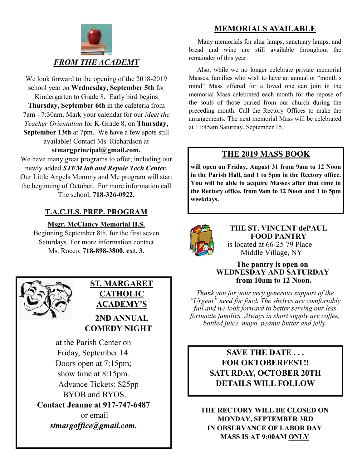

We look forward to the opening of the 2018-2019 school year on **Wednesday, September 5th** for Kindergarten to Grade 8. Early bird begins **Thursday, September 6th** in the cafeteria from 7am - 7:30am. Mark your calendar for our *Meet the Teacher Orientation* for K-Grade 8, on **Thursday, September 13th** at 7pm. We have a few spots still available! Contact Ms. Richardson at **stmargprincipal@gmail.com.**

We have many great programs to offer, including our newly added *STEM lab and Repole Tech Center.*  Our Little Angels Mommy and Me program will start the beginning of October. For more information call The school, **718-326-0922.** 

## **T.A.C.H.S. PREP. PROGRAM**

**Msgr. McClancy Memorial H.S.**

Beginning September 8th, for the first seven Saturdays. For more information contact Ms. Rocco, **718-898-3800, ext. 3.**



# **ST. MARGARET CATHOLIC ACADEMY'S**

# **2ND ANNUAL COMEDY NIGHT**

at the Parish Center on Friday, September 14. Doors open at 7:15pm; show time at 8:15pm. Advance Tickets: \$25pp BYOB and BYOS. **Contact Jeanne at 917-747-6487** or email *stmargoffice@gmail.com.*

# **MEMORIALS AVAILABLE**

Many memorials for altar lamps, sanctuary lamps, and bread and wine are still available throughout the remainder of this year.

 Also, while we no longer celebrate private memorial Masses, families who wish to have an annual or "month's mind" Mass offered for a loved one can join in the memorial Mass celebrated each month for the repose of the souls of those buried from our church during the preceding month. Call the Rectory Offices to make the arrangements. The next memorial Mass will be celebrated at 11:45am Saturday, September 15.

#### **THE 2019 MASS BOOK**

**will open on Friday, August 31 from 9am to 12 Noon in the Parish Hall, and 1 to 5pm in the Rectory office. You will be able to acquire Masses after that time in the Rectory office, from 9am to 12 Noon and 1 to 5pm weekdays.**



#### **THE ST. VINCENT dePAUL FOOD PANTRY** is located at 66-25 79 Place Middle Village, NY

#### **The pantry is open on WEDNESDAY AND SATURDAY from 10am to 12 Noon.**

*Thank you for your very generous support of the "Urgent" need for food. The shelves are comfortably full and we look forward to better serving our less fortunate families. Always in short supply are coffee, bottled juice, mayo, peanut butter and jelly.*

#### **SAVE THE DATE . . . FOR OKTOBERFEST!! SATURDAY, OCTOBER 20TH DETAILS WILL FOLLOW**

**THE RECTORY WILL BE CLOSED ON MONDAY, SEPTEMBER 3RD IN OBSERVANCE OF LABOR DAY MASS IS AT 9:00AM ONLY**